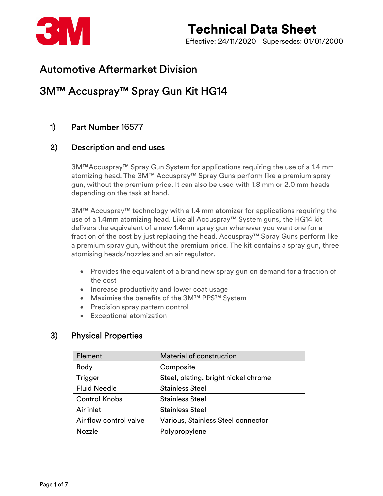

# Technical Data Sheet Effective: 24/11/2020 Supersedes: 01/01/2000

# Automotive Aftermarket Division

# 3M™ Accuspray™ Spray Gun Kit HG14

## 1) Part Number 16577

## 2) Description and end uses

3M™Accuspray™ Spray Gun System for applications requiring the use of a 1.4 mm atomizing head. The 3M™ Accuspray™ Spray Guns perform like a premium spray gun, without the premium price. It can also be used with 1.8 mm or 2.0 mm heads depending on the task at hand.

3M™ Accuspray™ technology with a 1.4 mm atomizer for applications requiring the use of a 1.4mm atomizing head. Like all Accuspray™ System guns, the HG14 kit delivers the equivalent of a new 1.4mm spray gun whenever you want one for a fraction of the cost by just replacing the head. Accuspray™ Spray Guns perform like a premium spray gun, without the premium price. The kit contains a spray gun, three atomising heads/nozzles and an air regulator.

- Provides the equivalent of a brand new spray gun on demand for a fraction of the cost
- Increase productivity and lower coat usage
- Maximise the benefits of the 3M™ PPS™ System
- Precision spray pattern control
- Exceptional atomization

## 3) Physical Properties

| Element                | Material of construction             |  |
|------------------------|--------------------------------------|--|
| <b>Body</b>            | Composite                            |  |
| Trigger                | Steel, plating, bright nickel chrome |  |
| <b>Fluid Needle</b>    | <b>Stainless Steel</b>               |  |
| <b>Control Knobs</b>   | <b>Stainless Steel</b>               |  |
| Air inlet              | <b>Stainless Steel</b>               |  |
| Air flow control valve | Various, Stainless Steel connector   |  |
| <b>Nozzle</b>          | Polypropylene                        |  |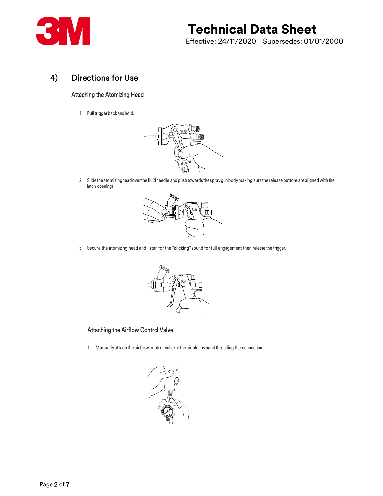

# Technical Data Sheet

Effective: 24/11/2020 Supersedes: 01/01/2000

## 4) Directions for Use

### Attaching the Atomizing Head

1. Pull trigger back and hold.



2. Slide the atomizing head over the fluid needle and push towards the spray gun body making sure the release buttons are aligned with the latch openings.



3. Secure the atomizing head and listen for the "clicking" sound for full engagement then release the trigger.



## Attaching the Airflow Control Valve

1. Manually attach the air flow control valve to the air inlet by hand threading the connection.

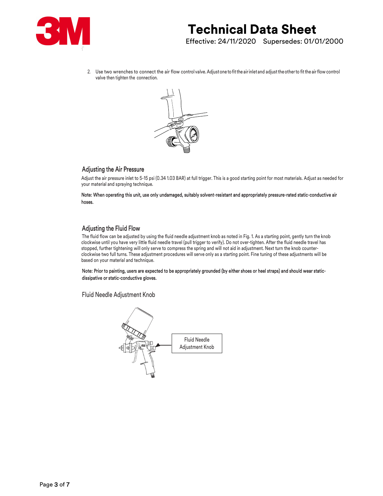

2. Use two wrenches to connect the air flow control valve. Adjust one to fit the air inlet and adjust the other to fit the air flow control valve then tighten the connection.



Adjusting the Air Pressure<br>Adjust the air pressure inlet to 5-15 psi (0.34 1.03 BAR) at full trigger. This is a good starting point for most materials. Adjust as needed for your material and spraying technique.

Note: When operating this unit, use only undamaged, suitably solvent-resistant and appropriately pressure-rated static-conductive air hoses.

**Adjusting the Fluid Flow**<br>The fluid flow can be adjusted by using the fluid needle adjustment knob as noted in Fig. 1. As a starting point, gently turn the knob clockwise until you have very little fluid needle travel (pull trigger to verify). Do not over-tighten. After the fluid needle travel has stopped, further tightening will only serve to compress the spring and will not aid in adjustment. Next turn the knob counterclockwise two full turns. These adjustment procedures will serve only as a starting point. Fine tuning of these adjustments will be based on your material and technique.

Note: Prior to painting, users are expected to be appropriately grounded (by either shoes or heel straps) and should wear staticdissipative or static-conductive gloves.

Fluid Needle Adjustment Knob

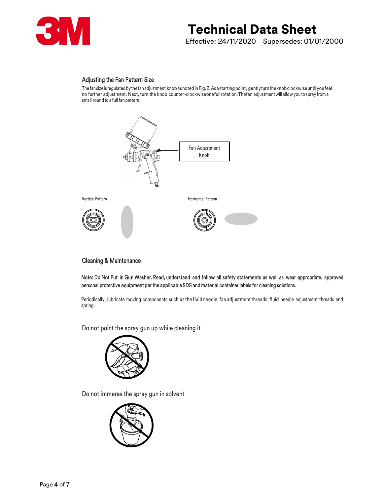

# Technical Data Sheet

Effective: 24/11/2020 Supersedes: 01/01/2000

Adjusting the Fan Pattern Size<br>The fan size is regulated by the fan adjustment knob as noted in Fig. 2. As a starting point, gently turn the knob clockwise until you feel no further adjustment. Next, turn the knob counter-clockwise one full rotation. The fan adjustment will allow you to spray from a small round to a full fan pattern.



### Cleaning & Maintenance

Note: Do Not Put in Gun Washer. Read, understand and follow all safety statements as well as wear appropriate, approved personal protective equipment per the applicable SDS and material container labels for cleaning solutions.

 Periodically, lubricate moving components such as the fluid needle, fan adjustment threads, fluid needle adjustment threads and spring.

Do not point the spray gun up while cleaning it



Do not immerse the spray gun in solvent

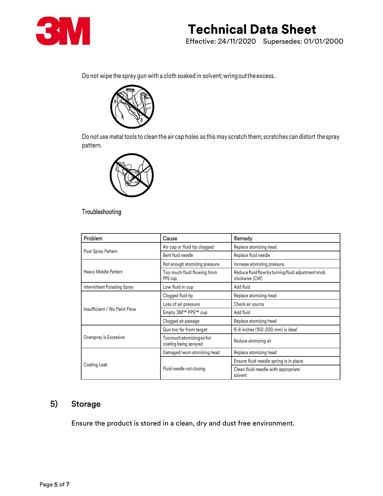

## Technical Data Sheet Effective: 24/11/2020 Supersedes: 01/01/2000

Do not wipe the spray gun with a cloth soaked in solvent; wring out the excess.



Do not use metal tools to clean the air cap holes as this may scratch them; scratches can distort the spray pattern.



## Troubleshooting

| Problem                      | Cause                                           | Remedy                                                               |
|------------------------------|-------------------------------------------------|----------------------------------------------------------------------|
| Poor Spray Pattern           | Air cap or fluid tip clogged                    | Replace atomizing head                                               |
|                              | Bent fluid needle                               | Replace fluid needle                                                 |
| Heavy Middle Pattern         | Not enough atomizing pressure.                  | Increase atomizing pressure.                                         |
|                              | Too much fluid flowing from<br>PPS cup.         | Reduce fluid flow by turning fluid adjustment knob<br>clockwise (CW) |
| Intermittent Pulsating Spray | Low fluid in cup                                | Add fluid                                                            |
| Insufficient / No Paint Flow | Clogged fluid tip                               | Replace atomizing head                                               |
|                              | Loss of air pressure                            | Check air source                                                     |
|                              | Empty 3M™ PPS™ cup                              | Add fluid                                                            |
|                              | Clogged air passage                             | Replace atomizing head                                               |
| Overspray is Excessive       | Gun too far from target                         | 6-8 inches (150-200 mm) is ideal                                     |
|                              | Toomuchatomizingairfor<br>coating being sprayed | Reduce atomizing air                                                 |
| Coating Leak                 | Damaged/worn atomizing head                     | Replace atomizing head                                               |
|                              |                                                 | Ensure fluid needle spring is in place                               |
|                              | Fluid needle not closing                        | Clean fluid needle with appropriate<br>solvent                       |

## 5) Storage

Ensure the product is stored in a clean, dry and dust free environment.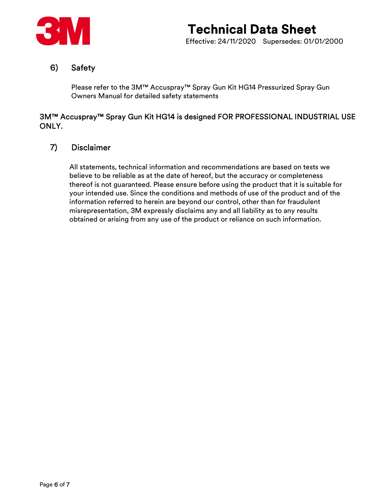

## 6) Safety

Please refer to the 3M™ Accuspray™ Spray Gun Kit HG14 Pressurized Spray Gun Owners Manual for detailed safety statements

## 3M™ Accuspray™ Spray Gun Kit HG14 is designed FOR PROFESSIONAL INDUSTRIAL USE ONLY.

## 7) Disclaimer

All statements, technical information and recommendations are based on tests we believe to be reliable as at the date of hereof, but the accuracy or completeness thereof is not guaranteed. Please ensure before using the product that it is suitable for your intended use. Since the conditions and methods of use of the product and of the information referred to herein are beyond our control, other than for fraudulent misrepresentation, 3M expressly disclaims any and all liability as to any results obtained or arising from any use of the product or reliance on such information.